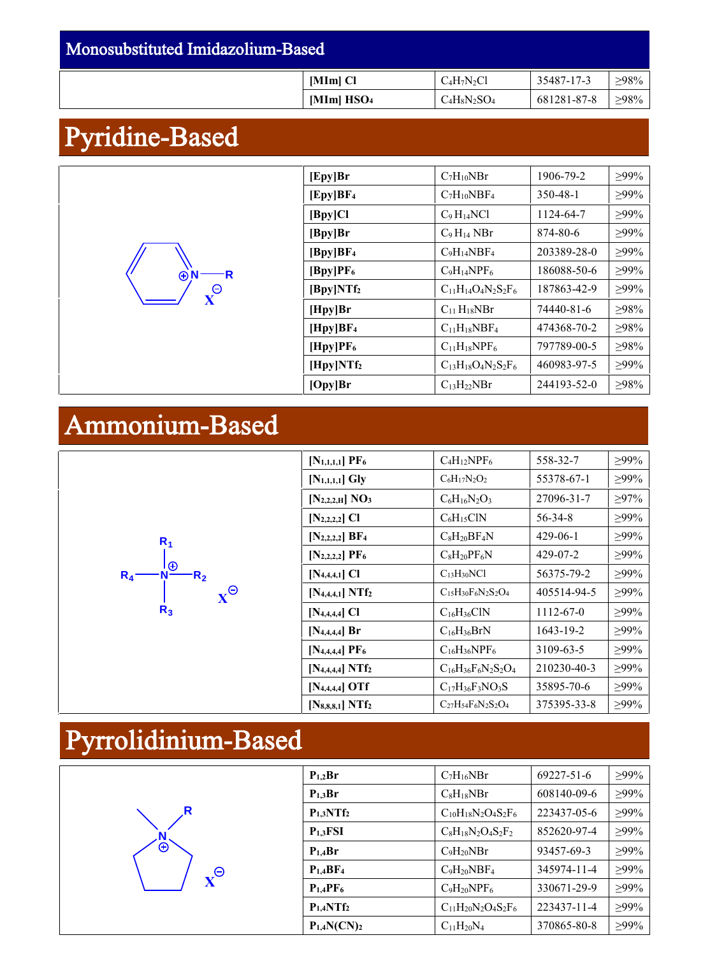### Monosubstituted Imidazolium-Based **[MIm] Cl**  $C_4H_7N_2Cl$  **35487-17-3**  $\geq 98\%$ **[MIm] HSO**<sup>4</sup>  $C_4H_8N_2SO_4$  681281-87-8  $\geq 98\%$

# Pyridine-Based

| [Epy]Br               | $C_7H_{10}NBr$             | 1906-79-2   | $>99\%$ |
|-----------------------|----------------------------|-------------|---------|
| [Epy]BF <sub>4</sub>  | $C_7H_{10}NBF_4$           | 350-48-1    | $>99\%$ |
| [By]Cl                | $C_9H_{14}NCl$             | 1124-64-7   | $>99\%$ |
| [Bpy]Br               | $C_9H_{14}NBr$             | 874-80-6    | $>99\%$ |
| [By]BF <sub>4</sub>   | $C_9H_{14}NBF_4$           | 203389-28-0 | $>99\%$ |
| [By]PF <sub>6</sub>   | $C_9H_{14}NPF_6$           | 186088-50-6 | $>99\%$ |
| [By]NTf <sub>2</sub>  | $C_{11}H_{14}O_4N_2S_2F_6$ | 187863-42-9 | $>99\%$ |
| [Hpy]Br               | $C_{11}H_{18}NBr$          | 74440-81-6  | $>98\%$ |
| [Hpy]BF <sub>4</sub>  | $C_{11}H_{18}NBF_4$        | 474368-70-2 | $>98\%$ |
| [Hpy]PF <sub>6</sub>  | $C_{11}H_{18}NPF_6$        | 797789-00-5 | $>98\%$ |
| [Hpy]NTf <sub>2</sub> | $C_{13}H_{18}O_4N_2S_2F_6$ | 460983-97-5 | $>99\%$ |
| [Opy]Br               | $C_{13}H_{22}NBr$          | 244193-52-0 | >98%    |

## Ammonium-Based

**N R**

**X**

| R <sub>4</sub> | $R_1$<br>$\Theta$<br>R <sub>2</sub><br>$R_3$ | $\mathbf v$ |
|----------------|----------------------------------------------|-------------|
|----------------|----------------------------------------------|-------------|

| $[N_{1,1,1,1}]$ PF <sub>6</sub> | $C_4H_1$ <sub>2</sub> NPF <sub>6</sub> | 558-32-7    | $>99\%$ |
|---------------------------------|----------------------------------------|-------------|---------|
| $[N_{1,1,1,1}]$ Gly             | $C_6H_{17}N_2O_2$                      | 55378-67-1  | $>99\%$ |
| $[N_{2,2,2,H}]$ NO <sub>3</sub> | $C_6H_{16}N_2O_3$                      | 27096-31-7  | $>97\%$ |
| $[N_{2,2,2,2}]$ CI              | $C_6H_{15}CIN$                         | 56-34-8     | $>99\%$ |
| $[N_{2,2,2,2}]$ BF <sub>4</sub> | $C_8H_{20}BF_4N$                       | 429-06-1    | $>99\%$ |
| $[N_{2,2,2,2}]$ PF <sub>6</sub> | $C_8H_{20}PF_6N$                       | 429-07-2    | $>99\%$ |
| $[N_{4,4,4,1}]$ Cl              | $C_{13}H_{30}NC1$                      | 56375-79-2  | $>99\%$ |
| $[N_{4,4,4,1}] N T f_2$         | $C_{15}H_{30}F_6N_2S_2O_4$             | 405514-94-5 | $>99\%$ |
| $[N_{4,4,4,4}]$ Cl              | $C_{16}H_{36}CIN$                      | 1112-67-0   | $>99\%$ |
| $[N_{4,4,4,4}]$ Br              | $C_{16}H_{36}BrN$                      | 1643-19-2   | $>99\%$ |
| $[N_{4,4,4,4}]$ PF <sub>6</sub> | $C_{16}H_{36}NPF_{6}$                  | 3109-63-5   | $>99\%$ |
| $[N_{4,4,4,4}] N T f_2$         | $C_{16}H_{36}F_6N_2S_2O_4$             | 210230-40-3 | $>99\%$ |
| $[N_{4,4,4,4}]$ OTf             | $C_{17}H_{36}F_3NO_3S$                 | 35895-70-6  | $>99\%$ |
| $[N_{8,8,8,1}] N T f_2$         | $C_{27}H_{54}F_6N_2S_2O_4$             | 375395-33-8 | $>99\%$ |

# Pyrrolidinium-Based



| $P_{1,2}Br$                      | $C_7H_{16}NBr$             | 69227-51-6  | $>99\%$ |
|----------------------------------|----------------------------|-------------|---------|
| $P_{1,3}Br$                      | $C_8H_{18}NBr$             | 608140-09-6 | $>99\%$ |
| $P_{1,3}NTf_2$                   | $C_{10}H_{18}N_2O_4S_2F_6$ | 223437-05-6 | $>99\%$ |
| $P_{1,3}FSI$                     | $C_8H_{18}N_2O_4S_2F_2$    | 852620-97-4 | $>99\%$ |
| $P_{1.4}Br$                      | $C_9H_{20}NBr$             | 93457-69-3  | $>99\%$ |
| P <sub>1.4</sub> BF <sub>4</sub> | $C_9H_{20}NBF_4$           | 345974-11-4 | $>99\%$ |
| P <sub>1.4</sub> PF <sub>6</sub> | $C_9H_{20}NPF_6$           | 330671-29-9 | $>99\%$ |
| $P_{1.4}NTf_2$                   | $C_{11}H_{20}N_2O_4S_2F_6$ | 223437-11-4 | $>99\%$ |
| $P_{1,4}N(CN)_{2}$               | $C_{11}H_{20}N_4$          | 370865-80-8 | $>99\%$ |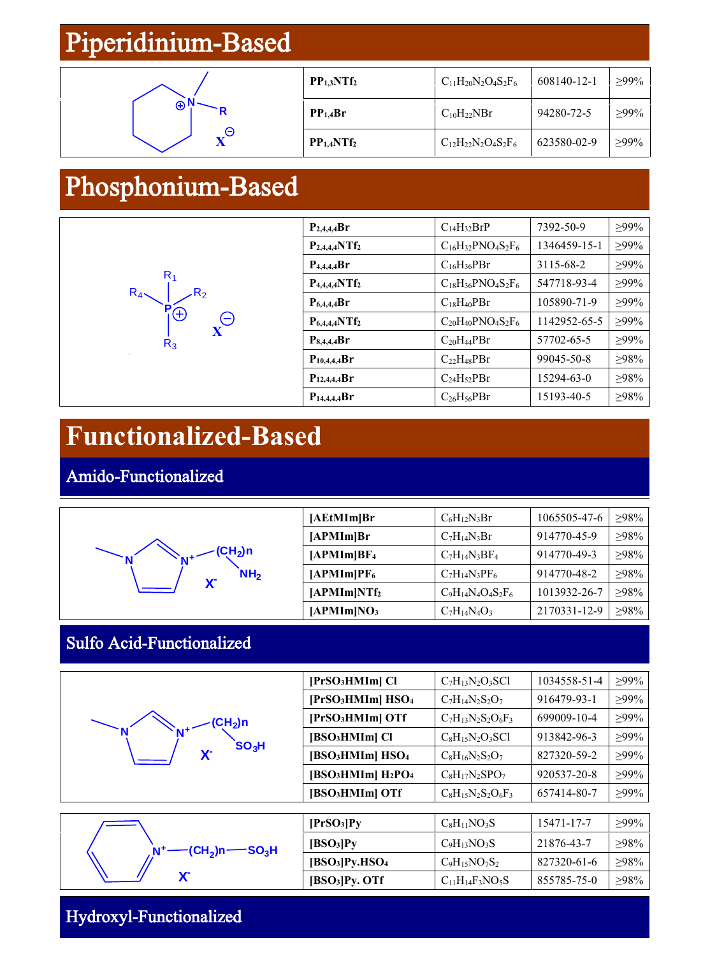### Piperidinium-Based



| PP <sub>1.3</sub> NTf <sub>2</sub> | $C_{11}H_{20}N_2O_4S_2F_6$ | 608140-12-1 | $>99\%$ |
|------------------------------------|----------------------------|-------------|---------|
| PP <sub>1.4</sub> Br               | $C_{10}H_{22}NBr$          | 94280-72-5  | $>99\%$ |
| PP <sub>1.4</sub> NTf <sub>2</sub> | $C_{12}H_{22}N_2O_4S_2F_6$ | 623580-02-9 | $>99\%$ |

### Phosphonium-Based



| $P_{2,4,4,4}Br$    | $C_{14}H_{32}BrP$                   | 7392-50-9    | $>99\%$ |
|--------------------|-------------------------------------|--------------|---------|
| $P_{2,4,4,4}NTf_2$ | $C_{16}H_{32}PNO_4S_2F_6$           | 1346459-15-1 | $>99\%$ |
| $P_{4,4,4,4}Br$    | $C_{16}H_{36}PBr$                   | 3115-68-2    | $>99\%$ |
| $P_{4,4,4,4}NTf_2$ | $C_{18}H_{36}PNO_4S_2F_6$           | 547718-93-4  | $>99\%$ |
| $P_{6.4.4.4}Br$    | $C_{18}H_{40}PBr$                   | 105890-71-9  | $>99\%$ |
| $P_{6,4,4,4}NTf_2$ | $C_{20}H_{40}PNO_{4}S_{2}F_{6}$     | 1142952-65-5 | $>99\%$ |
| $P_{8,4,4,4}Br$    | C <sub>20</sub> H <sub>44</sub> PBr | 57702-65-5   | $>99\%$ |
| $P_{10,4,4,4}Br$   | $C_{22}H_{48}PBr$                   | 99045-50-8   | $>98\%$ |
| $P_{12,4,4,4}Br$   | C <sub>24</sub> H <sub>52</sub> PBr | 15294-63-0   | $>98\%$ |
| $P_{14,4,4,4}Br$   | $C_{26}H_{56}PBr$                   | 15193-40-5   | >98%    |

### **Functionalized-Based**

Amido-Functionalized



#### Sulfo Acid-Functionalized



| [PrSO <sub>3</sub> HMIm] Cl                            | $C7H13N2O3SCl$          | 1034558-51-4 | $>99\%$ |
|--------------------------------------------------------|-------------------------|--------------|---------|
| [PrSO <sub>3</sub> HMIm] HSO <sub>4</sub>              | $C_7H_{14}N_2S_2O_7$    | 916479-93-1  | $>99\%$ |
| [PrSO <sub>3</sub> HMIm] OTf                           | $C_7H_{13}N_2S_2O_6F_3$ | 699009-10-4  | $>99\%$ |
| [BSO <sub>3</sub> HMIm] Cl                             | $C_8H_{15}N_2O_3SC1$    | 913842-96-3  | $>99\%$ |
| [BSO <sub>3</sub> HMIm] HSO <sub>4</sub>               | $C_8H_{16}N_2S_2O_7$    | 827320-59-2  | $>99\%$ |
| [BSO <sub>3</sub> HMIm] H <sub>2</sub> PO <sub>4</sub> | $C_8H_{17}N_2SPO_7$     | 920537-20-8  | $>99\%$ |
| [BSO <sub>3</sub> HMIm] OTf                            | $C_8H_{15}N_2S_2O_6F_3$ | 657414-80-7  | $>99\%$ |

|                                                                                     | [PrSO <sub>3</sub> ]Py                 | $C_8H_{11}NO_3S$       | 15471-17-7  | $\geq$ 99% |
|-------------------------------------------------------------------------------------|----------------------------------------|------------------------|-------------|------------|
| $\mathop{-\mathrm{(CH_2)}}\limits_{\mathrm{D}}$ n $\mathop{-\mathrm{SO_3H}}\limits$ | [BSO <sub>3</sub> ]Py                  | $C_9H_{13}NO_3S$       | 21876-43-7  | $>98\%$    |
|                                                                                     | [BSO <sub>3</sub> ]Py.HSO <sub>4</sub> | $C_9H_{15}NO_7S_2$     | 827320-61-6 | $>98\%$    |
| $\mathbf{v}$                                                                        | [BSO <sub>3</sub> ]Py. OTF             | $C_{11}H_{14}F_3NO_5S$ | 855785-75-0 | $\geq$ 98% |

#### Hydroxyl-Functionalized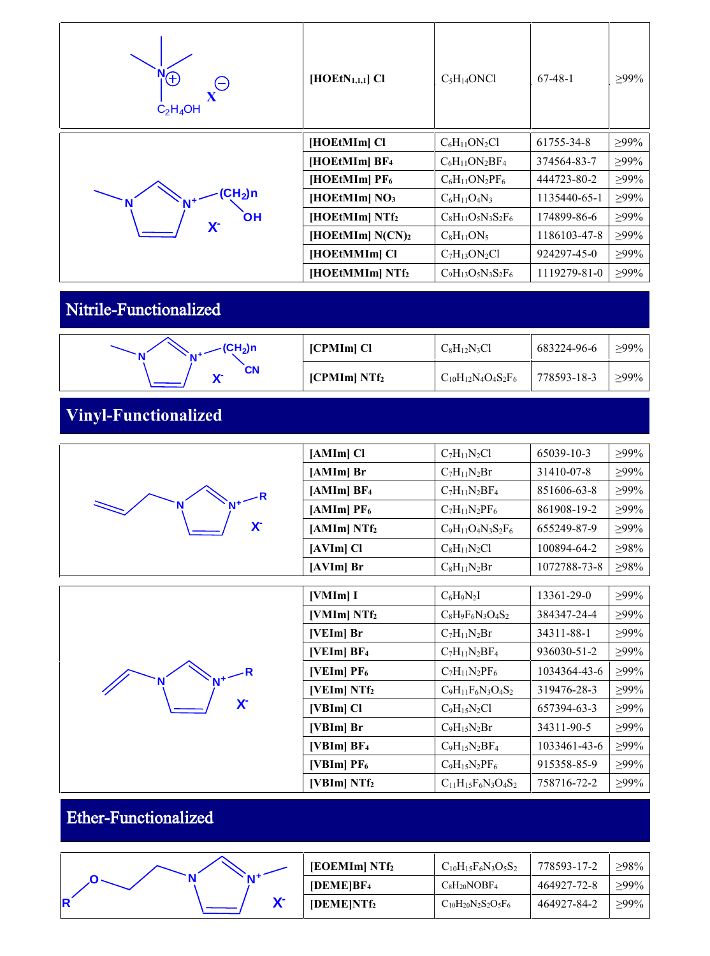| Æ<br>$\in$<br>$C_2H_4OH$               | $[HOEtN1,1,1]$ Cl            | $C_5H_{14}ONCl$         | $67-48-1$    | $>99\%$     |
|----------------------------------------|------------------------------|-------------------------|--------------|-------------|
|                                        | [HOEtMIm] Cl                 | $C_6H_{11}ON_2Cl$       | 61755-34-8   | $\geq 99\%$ |
|                                        | [HOEtMIm] BF4                | $C_6H_{11}ON_2BF_4$     | 374564-83-7  | $>99\%$     |
|                                        | $[HOEtMIm]$ PF <sub>6</sub>  | $C_6H_{11}ON_2PF_6$     | 444723-80-2  | $\geq$ 99%  |
| $\mathsf{CH}_2$ )n                     | [HOEtMIm] NO <sub>3</sub>    | $C_6H_{11}O_4N_3$       | 1135440-65-1 | $\geq 99\%$ |
| <b>OH</b><br>$\mathsf{X}^{\mathsf{L}}$ | [HOEtMIm] NTf2               | $C_8H_{11}O_5N_3S_2F_6$ | 174899-86-6  | $\geq 99\%$ |
|                                        | [HOEtMIm] N(CN) <sub>2</sub> | $C_8H_{11}ON_5$         | 1186103-47-8 | $\geq 99\%$ |
|                                        | [HOEtMMIm] Cl                | $C_7H_{13}ON_2Cl$       | 924297-45-0  | $>99\%$     |
|                                        | [HOEtMMIm] NTf2              | $C_9H_{13}O_5N_3S_2F_6$ | 1119279-81-0 | $\geq 99\%$ |

#### Nitrile-Functionalized

| $-CH_2$ )n<br>AI+ | [CPMIm] Cl       | $C_8H_{12}N_3Cl$           | 683224-96-6 | $>99\%$     |
|-------------------|------------------|----------------------------|-------------|-------------|
| CN<br><b>W-</b>   | $[CPMIm] N Tf_2$ | $C_{10}H_{12}N_4O_4S_2F_6$ | 778593-18-3 | $\geq 99\%$ |

### **Vinyl-Functionalized**

| R            | [AMIm] Cl                | $C_7H_{11}N_2Cl$        | 65039-10-3   | $>99\%$    |
|--------------|--------------------------|-------------------------|--------------|------------|
|              | $[AMIm]$ Br              | $C_7H_{11}N_2Br$        | 31410-07-8   | $>99\%$    |
|              | [AMIm]BF <sub>4</sub>    | $C_7H_{11}N_2BF_4$      | 851606-63-8  | $>99\%$    |
|              | $[AMIm]$ PF <sub>6</sub> | $C_7H_{11}N_2PF_6$      | 861908-19-2  | $>99\%$    |
| $\mathbf{X}$ | $[AMIm] N Tf_2$          | $C_9H_{11}O_4N_3S_2F_6$ | 655249-87-9  | $>99\%$    |
|              | $[AVIm]$ Cl              | $C_8H_{11}N_2Cl$        | 100894-64-2  | >98%       |
|              | $[AVIm]$ Br              | $C_8H_{11}N_2Br$        | 1072788-73-8 | $\geq$ 98% |

|                           | [VMIm] I                   | $C_6H_9N_2I$               | 13361-29-0   | $\geq 99\%$ |
|---------------------------|----------------------------|----------------------------|--------------|-------------|
|                           | [VMIm] NTf <sub>2</sub>    | $C_8H_9F_6N_3O_4S_2$       | 384347-24-4  | $>99\%$     |
|                           | $[VEIm]$ Br                | $C_7H_{11}N_2Br$           | 34311-88-1   | $\geq 99\%$ |
|                           | [VEIm]BF <sub>4</sub>      | $C_7H_{11}N_2BF_4$         | 936030-51-2  | $\geq 99\%$ |
|                           | [VEIm] $PF_6$              | $C_7H_{11}N_2PF_6$         | 1034364-43-6 | $\geq 99\%$ |
|                           | [VEIm] NTf <sub>2</sub>    | $C_9H_{11}F_6N_3O_4S_2$    | 319476-28-3  | $\geq 99\%$ |
| $\mathsf{X}^{\mathsf{c}}$ | $[VBIm]$ Cl                | $C_9H_{15}N_2Cl$           | 657394-63-3  | $>99\%$     |
|                           | $[VBIm]$ Br                | $C_9H_{15}N_2Br$           | 34311-90-5   | $>99\%$     |
|                           | [ $VBIm$ ] $BF4$           | $C_9H_{15}N_2BF_4$         | 1033461-43-6 | $>99\%$     |
|                           | [ $VBIm$ ] PF <sub>6</sub> | $C_9H_{15}N_2PF_6$         | 915358-85-9  | $\geq 99\%$ |
|                           | [ $VBIm$ ] NT $f_2$        | $C_{11}H_{15}F_6N_3O_4S_2$ | 758716-72-2  | $\geq 99\%$ |

### Ether-Functionalized

|            | [EOEMIm] NTf <sub>2</sub> | $C_{10}H_{15}F_6N_3O_5S_2$          | 778593-17-2 | $>98\%$ |
|------------|---------------------------|-------------------------------------|-------------|---------|
| N 14       | [DEME]BF <sub>4</sub>     | CsH <sub>20</sub> NOBF <sub>4</sub> | 464927-72-8 | $>99\%$ |
| <b>17-</b> | [DEME NTf <sub>2</sub> ]  | $C_{10}H_{20}N_2S_2O_5F_6$          | 464927-84-2 | $>99\%$ |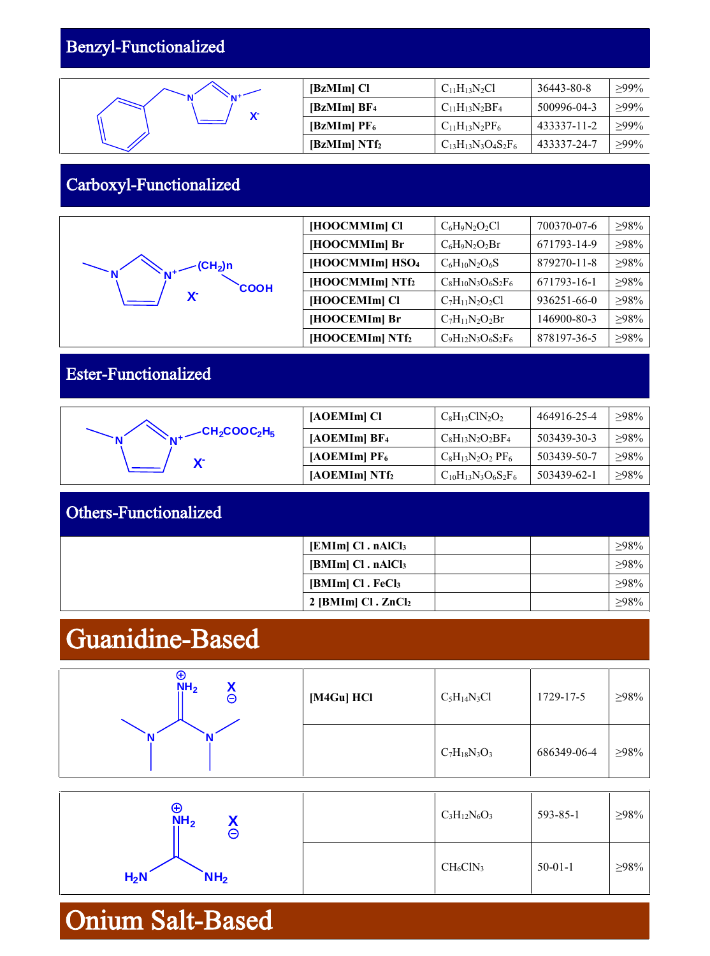#### Benzyl-Functionalized



| [BzMIm] Cl                                   | $C_{11}H_{13}N_2Cl$        | 36443-80-8  | $>99\%$ |
|----------------------------------------------|----------------------------|-------------|---------|
| $\left[\text{BzMIm}\right]$ BF <sub>4</sub>  | $C_{11}H_{13}N_2BF_4$      | 500996-04-3 | $>99\%$ |
| $\left[\text{BzMIm}\right]$ PF <sub>6</sub>  | $C_{11}H_{13}N_2PF_6$      | 433337-11-2 | $>99\%$ |
| $\left[\text{BzMIm}\right]$ NTf <sub>2</sub> | $C_{13}H_{13}N_3O_4S_2F_6$ | 433337-24-7 | $>99\%$ |

#### Carboxyl-Functionalized

|                             | [HOOCMMIm] Cl             | $C_6H_9N_2O_2Cl$        | 700370-07-6 | $>98\%$ |
|-----------------------------|---------------------------|-------------------------|-------------|---------|
|                             | [HOOCMMIm] Br             | $C_6H_9N_2O_2Br$        | 671793-14-9 | $>98\%$ |
| $(CH_2)$ n                  | $[HOOCMMIm]$ $HSO4$       | $C_6H_{10}N_2O_6S$      | 879270-11-8 | >98%    |
| <b>COOH</b><br>$\mathbf{X}$ | [HOOCMMIm] N <sub>1</sub> | $C_8H_{10}N_3O_6S_2F_6$ | 671793-16-1 | >98%    |
|                             | [HOOCEMIm] Cl             | $C_7H_{11}N_2O_2Cl$     | 936251-66-0 | >98%    |
|                             | [HOOCEMIm] Br             | $C_7H_{11}N_2O_2Br$     | 146900-80-3 | >98%    |
|                             | [HOOCEMIm] N <sub>1</sub> | $C_9H_{12}N_3O_6S_2F_6$ | 878197-36-5 | $>98\%$ |

#### Ester-Functionalized

|                                                           | [AOEMIm] Cl                | $C_8H_{13}ClN_2O_2$               | 464916-25-4 | $>98\%$    |
|-----------------------------------------------------------|----------------------------|-----------------------------------|-------------|------------|
| $\angle$ CH <sub>2</sub> COOC <sub>2</sub> H <sub>5</sub> | [AOEMIm]BF <sub>4</sub>    | $C_8H_{13}N_2O_2BF_4$             | 503439-30-3 | $>98\%$    |
| $\mathbf{v}$                                              | $[AOEMIm]$ PF <sub>6</sub> | $C_8H_{13}N_2O_2$ PF <sub>6</sub> | 503439-50-7 | $\geq$ 98% |
|                                                           | $[AOEMIm] NTf_2$           | $C_{10}H_{13}N_3O_6S_2F_6$        | 503439-62-1 | $\geq$ 98% |

| <b>Others-Functionalized</b> |                                |            |
|------------------------------|--------------------------------|------------|
|                              | $[EMIm]$ Cl. $nAlCl3$          | $\geq$ 98% |
|                              | $[BMIm]$ Cl. $nAlCl3$          | >98%       |
|                              | $[BMIm]$ Cl. FeCl <sub>3</sub> | $>98\%$    |
|                              | $2$ [BMIm] Cl. $ZnCl2$         | ≥98%       |

### Guanidine-Based

| ⊕<br>NH <sub>2</sub><br>⊖ | [M4Gu] HCl | $C_5H_{14}N_3Cl$  | 1729-17-5   | $\geq$ 98% |
|---------------------------|------------|-------------------|-------------|------------|
|                           |            | $C_7H_{18}N_3O_3$ | 686349-06-4 | $\geq$ 98% |

| $\bm \oplus$<br>NH <sub>2</sub><br>⊖ | $C_3H_{12}N_6O_3$ | 593-85-1      | >98%       |
|--------------------------------------|-------------------|---------------|------------|
| $H_2N$<br>NH <sub>2</sub>            | $CH_6ClN_3$       | $50 - 01 - 1$ | $\geq$ 98% |

### Onium Salt-Based